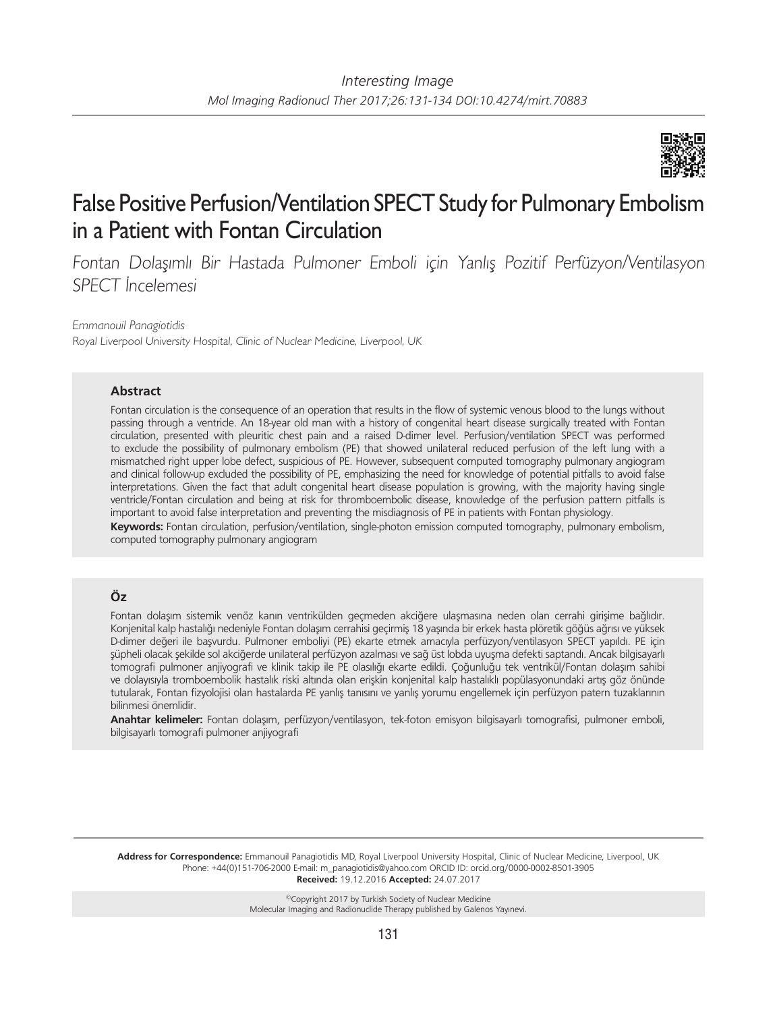

# False Positive Perfusion/Ventilation SPECT Study for Pulmonary Embolism in a Patient with Fontan Circulation

Fontan Dolaşımlı Bir Hastada Pulmoner Emboli için Yanlış Pozitif Perfüzyon/Ventilasyon SPECT İncelemesi

*Emmanouil Panagiotidis*

Royal Liverpool University Hospital, Clinic of Nuclear Medicine, Liverpool, UK

## **Abstract**

Fontan circulation is the consequence of an operation that results in the flow of systemic venous blood to the lungs without passing through a ventricle. An 18-year old man with a history of congenital heart disease surgically treated with Fontan circulation, presented with pleuritic chest pain and a raised D-dimer level. Perfusion/ventilation SPECT was performed to exclude the possibility of pulmonary embolism (PE) that showed unilateral reduced perfusion of the left lung with a mismatched right upper lobe defect, suspicious of PE. However, subsequent computed tomography pulmonary angiogram and clinical follow-up excluded the possibility of PE, emphasizing the need for knowledge of potential pitfalls to avoid false interpretations. Given the fact that adult congenital heart disease population is growing, with the majority having single ventricle/Fontan circulation and being at risk for thromboembolic disease, knowledge of the perfusion pattern pitfalls is important to avoid false interpretation and preventing the misdiagnosis of PE in patients with Fontan physiology.

**Keywords:** Fontan circulation, perfusion/ventilation, single-photon emission computed tomography, pulmonary embolism, computed tomography pulmonary angiogram

## **Öz**

Fontan dolaşım sistemik venöz kanın ventrikülden geçmeden akciğere ulaşmasına neden olan cerrahi girişime bağlıdır. Konjenital kalp hastalığı nedeniyle Fontan dolaşım cerrahisi geçirmiş 18 yaşında bir erkek hasta plöretik göğüs ağrısı ve yüksek D-dimer değeri ile başvurdu. Pulmoner emboliyi (PE) ekarte etmek amacıyla perfüzyon/ventilasyon SPECT yapıldı. PE için şüpheli olacak şekilde sol akciğerde unilateral perfüzyon azalması ve sağ üst lobda uyuşma defekti saptandı. Ancak bilgisayarlı tomografi pulmoner anjiyografi ve klinik takip ile PE olasılığı ekarte edildi. Çoğunluğu tek ventrikül/Fontan dolaşım sahibi ve dolayısıyla tromboembolik hastalık riski altında olan erişkin konjenital kalp hastalıklı popülasyonundaki artış göz önünde tutularak, Fontan fizyolojisi olan hastalarda PE yanlış tanısını ve yanlış yorumu engellemek için perfüzyon patern tuzaklarının bilinmesi önemlidir.

**Anahtar kelimeler:** Fontan dolaşım, perfüzyon/ventilasyon, tek-foton emisyon bilgisayarlı tomografisi, pulmoner emboli, bilgisayarlı tomografi pulmoner anjiyografi

**Address for Correspondence:** Emmanouil Panagiotidis MD, Royal Liverpool University Hospital, Clinic of Nuclear Medicine, Liverpool, UK Phone: +44(0)151-706-2000 E-mail: m\_panagiotidis@yahoo.com ORCID ID: orcid.org/0000-0002-8501-3905 **Received:** 19.12.2016 **Accepted:** 24.07.2017

> ©Copyright 2017 by Turkish Society of Nuclear Medicine Molecular Imaging and Radionuclide Therapy published by Galenos Yayınevi.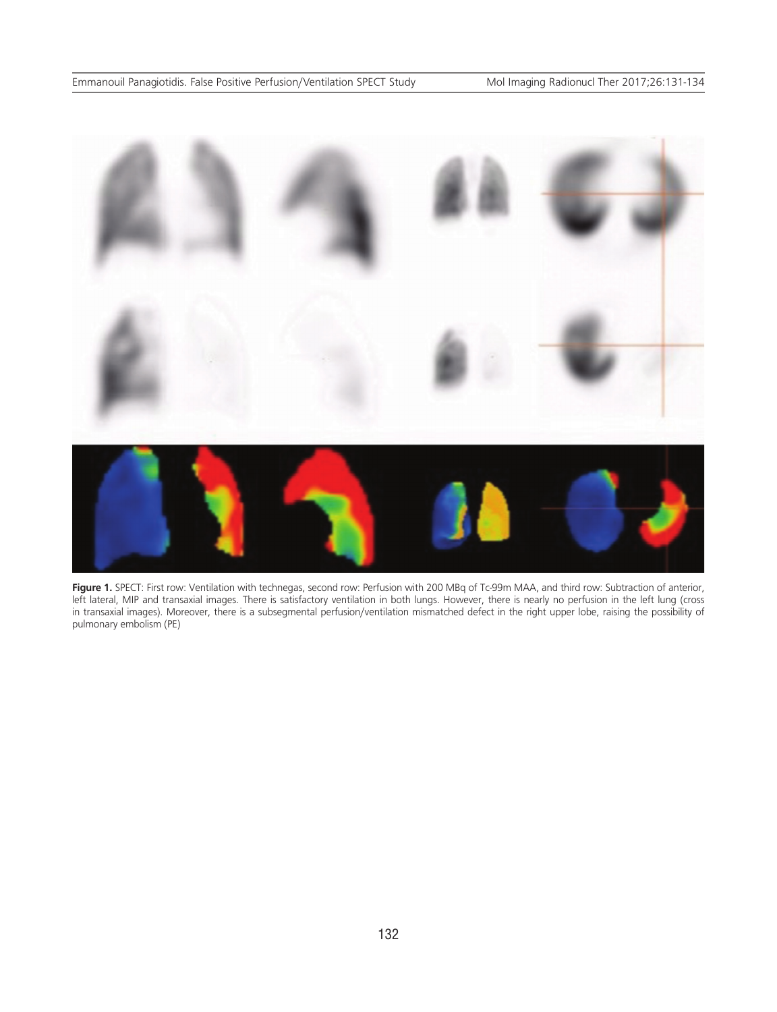

Figure 1. SPECT: First row: Ventilation with technegas, second row: Perfusion with 200 MBq of Tc-99m MAA, and third row: Subtraction of anterior, left lateral, MIP and transaxial images. There is satisfactory ventilation in both lungs. However, there is nearly no perfusion in the left lung (cross in transaxial images). Moreover, there is a subsegmental perfusion/ventilation mismatched defect in the right upper lobe, raising the possibility of pulmonary embolism (PE)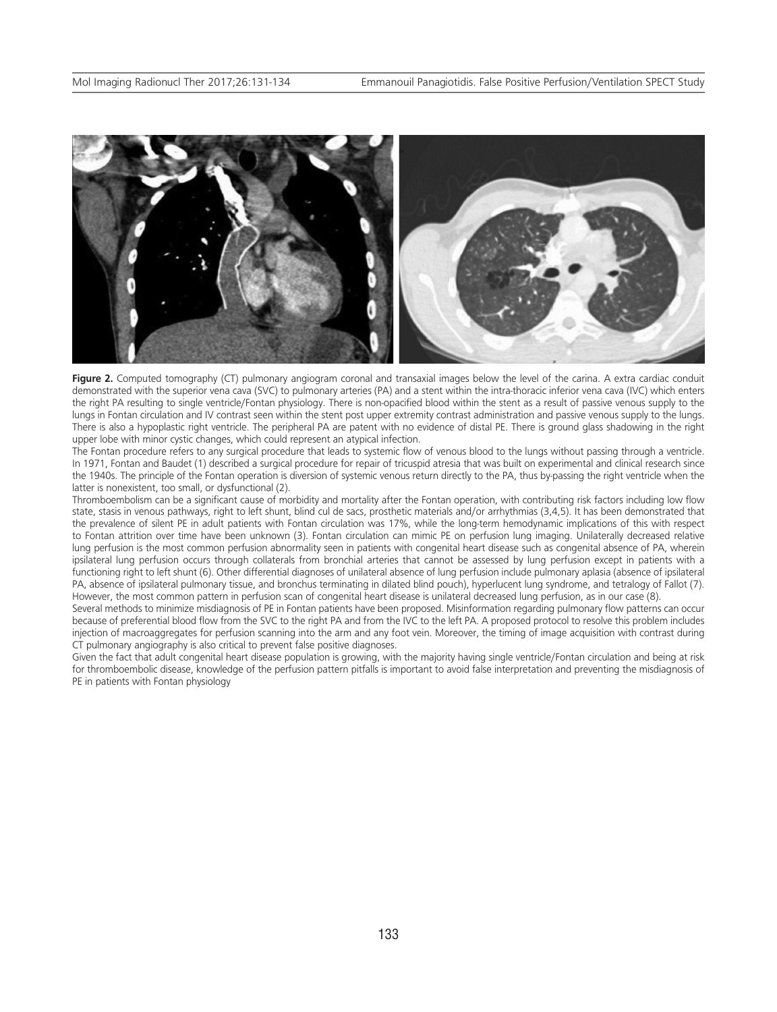

**Figure 2.** Computed tomography (CT) pulmonary angiogram coronal and transaxial images below the level of the carina. A extra cardiac conduit demonstrated with the superior vena cava (SVC) to pulmonary arteries (PA) and a stent within the intra-thoracic inferior vena cava (IVC) which enters the right PA resulting to single ventricle/Fontan physiology. There is non-opacified blood within the stent as a result of passive venous supply to the lungs in Fontan circulation and IV contrast seen within the stent post upper extremity contrast administration and passive venous supply to the lungs. There is also a hypoplastic right ventricle. The peripheral PA are patent with no evidence of distal PE. There is ground glass shadowing in the right upper lobe with minor cystic changes, which could represent an atypical infection.

The Fontan procedure refers to any surgical procedure that leads to systemic flow of venous blood to the lungs without passing through a ventricle. In 1971, Fontan and Baudet (1) described a surgical procedure for repair of tricuspid atresia that was built on experimental and clinical research since the 1940s. The principle of the Fontan operation is diversion of systemic venous return directly to the PA, thus by-passing the right ventricle when the latter is nonexistent, too small, or dysfunctional (2).

Thromboembolism can be a significant cause of morbidity and mortality after the Fontan operation, with contributing risk factors including low flow state, stasis in venous pathways, right to left shunt, blind cul de sacs, prosthetic materials and/or arrhythmias (3,4,5). It has been demonstrated that the prevalence of silent PE in adult patients with Fontan circulation was 17%, while the long-term hemodynamic implications of this with respect to Fontan attrition over time have been unknown (3). Fontan circulation can mimic PE on perfusion lung imaging. Unilaterally decreased relative lung perfusion is the most common perfusion abnormality seen in patients with congenital heart disease such as congenital absence of PA, wherein ipsilateral lung perfusion occurs through collaterals from bronchial arteries that cannot be assessed by lung perfusion except in patients with a functioning right to left shunt (6). Other differential diagnoses of unilateral absence of lung perfusion include pulmonary aplasia (absence of ipsilateral PA, absence of ipsilateral pulmonary tissue, and bronchus terminating in dilated blind pouch), hyperlucent lung syndrome, and tetralogy of Fallot (7). However, the most common pattern in perfusion scan of congenital heart disease is unilateral decreased lung perfusion, as in our case (8).

Several methods to minimize misdiagnosis of PE in Fontan patients have been proposed. Misinformation regarding pulmonary flow patterns can occur because of preferential blood flow from the SVC to the right PA and from the IVC to the left PA. A proposed protocol to resolve this problem includes injection of macroaggregates for perfusion scanning into the arm and any foot vein. Moreover, the timing of image acquisition with contrast during CT pulmonary angiography is also critical to prevent false positive diagnoses.

Given the fact that adult congenital heart disease population is growing, with the majority having single ventricle/Fontan circulation and being at risk for thromboembolic disease, knowledge of the perfusion pattern pitfalls is important to avoid false interpretation and preventing the misdiagnosis of PE in patients with Fontan physiology